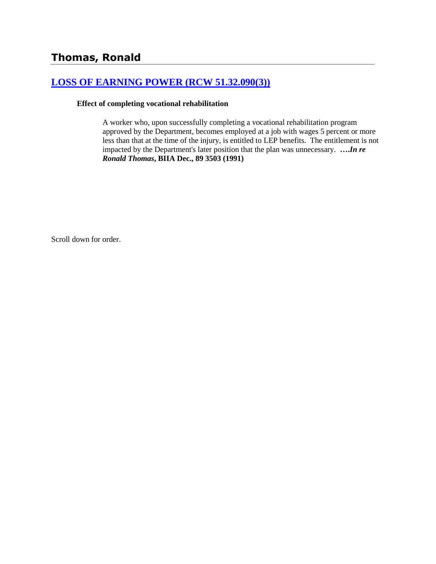## **[LOSS OF EARNING POWER \(RCW 51.32.090\(3\)\)](http://www.biia.wa.gov/SDSubjectIndex.html#LOSS_OF_EARNING_POWER)**

#### **Effect of completing vocational rehabilitation**

A worker who, upon successfully completing a vocational rehabilitation program approved by the Department, becomes employed at a job with wages 5 percent or more less than that at the time of the injury, is entitled to LEP benefits. The entitlement is not impacted by the Department's later position that the plan was unnecessary. **….***In re Ronald Thomas***, BIIA Dec., 89 3503 (1991)**

Scroll down for order.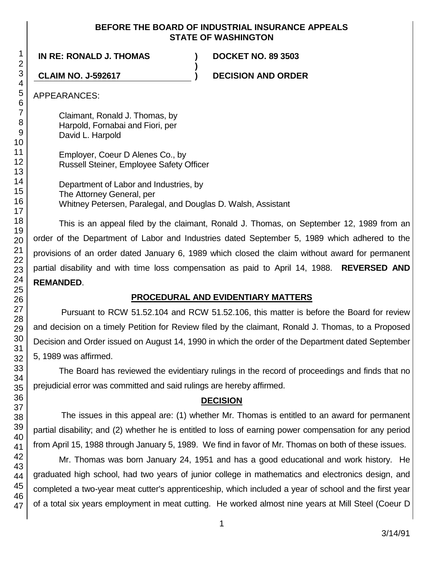### **BEFORE THE BOARD OF INDUSTRIAL INSURANCE APPEALS STATE OF WASHINGTON**

**)**

**IN RE: RONALD J. THOMAS ) DOCKET NO. 89 3503**

**CLAIM NO. J-592617 ) DECISION AND ORDER**

APPEARANCES:

Claimant, Ronald J. Thomas, by Harpold, Fornabai and Fiori, per David L. Harpold

Employer, Coeur D Alenes Co., by Russell Steiner, Employee Safety Officer

Department of Labor and Industries, by The Attorney General, per Whitney Petersen, Paralegal, and Douglas D. Walsh, Assistant

This is an appeal filed by the claimant, Ronald J. Thomas, on September 12, 1989 from an order of the Department of Labor and Industries dated September 5, 1989 which adhered to the provisions of an order dated January 6, 1989 which closed the claim without award for permanent partial disability and with time loss compensation as paid to April 14, 1988. **REVERSED AND REMANDED**.

## **PROCEDURAL AND EVIDENTIARY MATTERS**

Pursuant to RCW 51.52.104 and RCW 51.52.106, this matter is before the Board for review and decision on a timely Petition for Review filed by the claimant, Ronald J. Thomas, to a Proposed Decision and Order issued on August 14, 1990 in which the order of the Department dated September 5, 1989 was affirmed.

The Board has reviewed the evidentiary rulings in the record of proceedings and finds that no prejudicial error was committed and said rulings are hereby affirmed.

# **DECISION**

The issues in this appeal are: (1) whether Mr. Thomas is entitled to an award for permanent partial disability; and (2) whether he is entitled to loss of earning power compensation for any period from April 15, 1988 through January 5, 1989. We find in favor of Mr. Thomas on both of these issues.

Mr. Thomas was born January 24, 1951 and has a good educational and work history. He graduated high school, had two years of junior college in mathematics and electronics design, and completed a two-year meat cutter's apprenticeship, which included a year of school and the first year of a total six years employment in meat cutting. He worked almost nine years at Mill Steel (Coeur D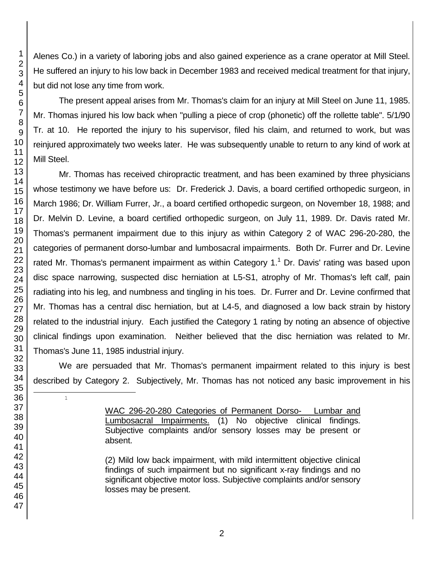Alenes Co.) in a variety of laboring jobs and also gained experience as a crane operator at Mill Steel. He suffered an injury to his low back in December 1983 and received medical treatment for that injury, but did not lose any time from work.

The present appeal arises from Mr. Thomas's claim for an injury at Mill Steel on June 11, 1985. Mr. Thomas injured his low back when "pulling a piece of crop (phonetic) off the rollette table". 5/1/90 Tr. at 10. He reported the injury to his supervisor, filed his claim, and returned to work, but was reinjured approximately two weeks later. He was subsequently unable to return to any kind of work at Mill Steel.

Mr. Thomas has received chiropractic treatment, and has been examined by three physicians whose testimony we have before us: Dr. Frederick J. Davis, a board certified orthopedic surgeon, in March 1986; Dr. William Furrer, Jr., a board certified orthopedic surgeon, on November 18, 1988; and Dr. Melvin D. Levine, a board certified orthopedic surgeon, on July 11, 1989. Dr. Davis rated Mr. Thomas's permanent impairment due to this injury as within Category 2 of WAC 296-20-280, the categories of permanent dorso-lumbar and lumbosacral impairments. Both Dr. Furrer and Dr. Levine rated Mr. Thomas's permanent impairment as within Category 1.<sup>1</sup> Dr. Davis' rating was based upon disc space narrowing, suspected disc herniation at L5-S1, atrophy of Mr. Thomas's left calf, pain radiating into his leg, and numbness and tingling in his toes. Dr. Furrer and Dr. Levine confirmed that Mr. Thomas has a central disc herniation, but at L4-5, and diagnosed a low back strain by history related to the industrial injury. Each justified the Category 1 rating by noting an absence of objective clinical findings upon examination. Neither believed that the disc herniation was related to Mr. Thomas's June 11, 1985 industrial injury.

We are persuaded that Mr. Thomas's permanent impairment related to this injury is best described by Category 2. Subjectively, Mr. Thomas has not noticed any basic improvement in his

> WAC 296-20-280 Categories of Permanent Dorso- Lumbar and Lumbosacral Impairments. (1) No objective clinical findings. Subjective complaints and/or sensory losses may be present or absent.

> (2) Mild low back impairment, with mild intermittent objective clinical findings of such impairment but no significant x-ray findings and no significant objective motor loss. Subjective complaints and/or sensory losses may be present.

l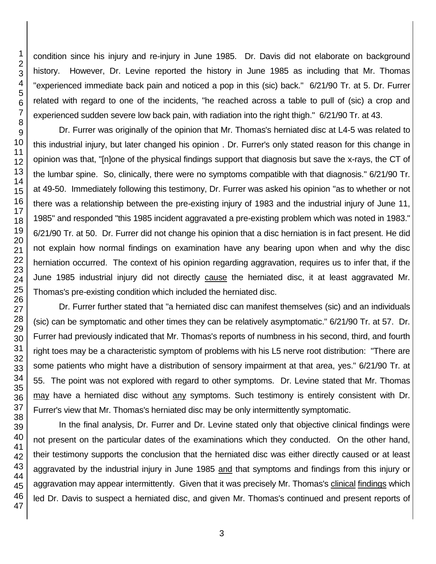condition since his injury and re-injury in June 1985. Dr. Davis did not elaborate on background history. However, Dr. Levine reported the history in June 1985 as including that Mr. Thomas "experienced immediate back pain and noticed a pop in this (sic) back." 6/21/90 Tr. at 5. Dr. Furrer related with regard to one of the incidents, "he reached across a table to pull of (sic) a crop and experienced sudden severe low back pain, with radiation into the right thigh." 6/21/90 Tr. at 43.

Dr. Furrer was originally of the opinion that Mr. Thomas's herniated disc at L4-5 was related to this industrial injury, but later changed his opinion . Dr. Furrer's only stated reason for this change in opinion was that, "[n]one of the physical findings support that diagnosis but save the x-rays, the CT of the lumbar spine. So, clinically, there were no symptoms compatible with that diagnosis." 6/21/90 Tr. at 49-50. Immediately following this testimony, Dr. Furrer was asked his opinion "as to whether or not there was a relationship between the pre-existing injury of 1983 and the industrial injury of June 11, 1985" and responded "this 1985 incident aggravated a pre-existing problem which was noted in 1983." 6/21/90 Tr. at 50. Dr. Furrer did not change his opinion that a disc herniation is in fact present. He did not explain how normal findings on examination have any bearing upon when and why the disc herniation occurred. The context of his opinion regarding aggravation, requires us to infer that, if the June 1985 industrial injury did not directly cause the herniated disc, it at least aggravated Mr. Thomas's pre-existing condition which included the herniated disc.

Dr. Furrer further stated that "a herniated disc can manifest themselves (sic) and an individuals (sic) can be symptomatic and other times they can be relatively asymptomatic." 6/21/90 Tr. at 57. Dr. Furrer had previously indicated that Mr. Thomas's reports of numbness in his second, third, and fourth right toes may be a characteristic symptom of problems with his L5 nerve root distribution: "There are some patients who might have a distribution of sensory impairment at that area, yes." 6/21/90 Tr. at 55. The point was not explored with regard to other symptoms. Dr. Levine stated that Mr. Thomas may have a herniated disc without any symptoms. Such testimony is entirely consistent with Dr. Furrer's view that Mr. Thomas's herniated disc may be only intermittently symptomatic.

In the final analysis, Dr. Furrer and Dr. Levine stated only that objective clinical findings were not present on the particular dates of the examinations which they conducted. On the other hand, their testimony supports the conclusion that the herniated disc was either directly caused or at least aggravated by the industrial injury in June 1985 and that symptoms and findings from this injury or aggravation may appear intermittently. Given that it was precisely Mr. Thomas's clinical findings which led Dr. Davis to suspect a herniated disc, and given Mr. Thomas's continued and present reports of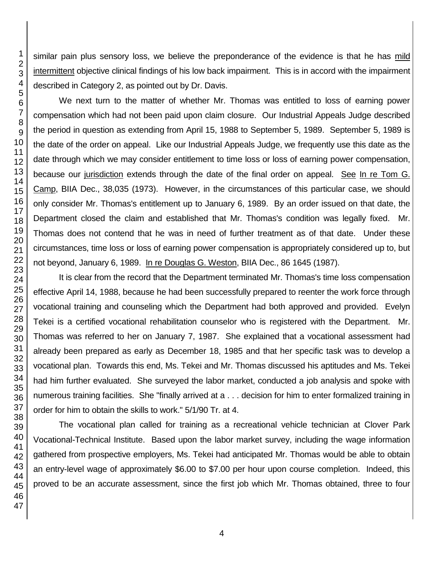similar pain plus sensory loss, we believe the preponderance of the evidence is that he has mild intermittent objective clinical findings of his low back impairment. This is in accord with the impairment described in Category 2, as pointed out by Dr. Davis.

We next turn to the matter of whether Mr. Thomas was entitled to loss of earning power compensation which had not been paid upon claim closure. Our Industrial Appeals Judge described the period in question as extending from April 15, 1988 to September 5, 1989. September 5, 1989 is the date of the order on appeal. Like our Industrial Appeals Judge, we frequently use this date as the date through which we may consider entitlement to time loss or loss of earning power compensation, because our jurisdiction extends through the date of the final order on appeal. See In re Tom G. Camp, BIIA Dec., 38,035 (1973). However, in the circumstances of this particular case, we should only consider Mr. Thomas's entitlement up to January 6, 1989. By an order issued on that date, the Department closed the claim and established that Mr. Thomas's condition was legally fixed. Mr. Thomas does not contend that he was in need of further treatment as of that date. Under these circumstances, time loss or loss of earning power compensation is appropriately considered up to, but not beyond, January 6, 1989. In re Douglas G. Weston, BIIA Dec., 86 1645 (1987).

It is clear from the record that the Department terminated Mr. Thomas's time loss compensation effective April 14, 1988, because he had been successfully prepared to reenter the work force through vocational training and counseling which the Department had both approved and provided. Evelyn Tekei is a certified vocational rehabilitation counselor who is registered with the Department. Mr. Thomas was referred to her on January 7, 1987. She explained that a vocational assessment had already been prepared as early as December 18, 1985 and that her specific task was to develop a vocational plan. Towards this end, Ms. Tekei and Mr. Thomas discussed his aptitudes and Ms. Tekei had him further evaluated. She surveyed the labor market, conducted a job analysis and spoke with numerous training facilities. She "finally arrived at a . . . decision for him to enter formalized training in order for him to obtain the skills to work." 5/1/90 Tr. at 4.

The vocational plan called for training as a recreational vehicle technician at Clover Park Vocational-Technical Institute. Based upon the labor market survey, including the wage information gathered from prospective employers, Ms. Tekei had anticipated Mr. Thomas would be able to obtain an entry-level wage of approximately \$6.00 to \$7.00 per hour upon course completion. Indeed, this proved to be an accurate assessment, since the first job which Mr. Thomas obtained, three to four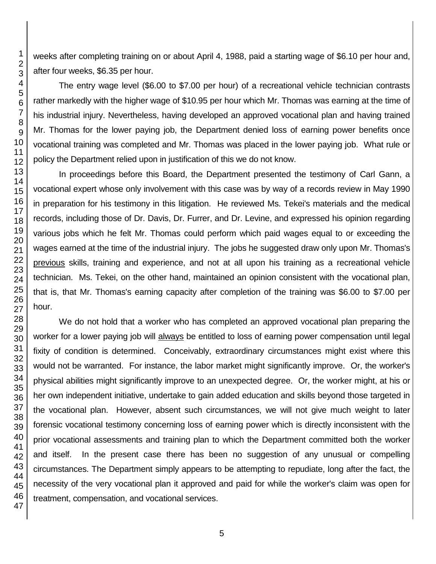weeks after completing training on or about April 4, 1988, paid a starting wage of \$6.10 per hour and, after four weeks, \$6.35 per hour.

The entry wage level (\$6.00 to \$7.00 per hour) of a recreational vehicle technician contrasts rather markedly with the higher wage of \$10.95 per hour which Mr. Thomas was earning at the time of his industrial injury. Nevertheless, having developed an approved vocational plan and having trained Mr. Thomas for the lower paying job, the Department denied loss of earning power benefits once vocational training was completed and Mr. Thomas was placed in the lower paying job. What rule or policy the Department relied upon in justification of this we do not know.

In proceedings before this Board, the Department presented the testimony of Carl Gann, a vocational expert whose only involvement with this case was by way of a records review in May 1990 in preparation for his testimony in this litigation. He reviewed Ms. Tekei's materials and the medical records, including those of Dr. Davis, Dr. Furrer, and Dr. Levine, and expressed his opinion regarding various jobs which he felt Mr. Thomas could perform which paid wages equal to or exceeding the wages earned at the time of the industrial injury. The jobs he suggested draw only upon Mr. Thomas's previous skills, training and experience, and not at all upon his training as a recreational vehicle technician. Ms. Tekei, on the other hand, maintained an opinion consistent with the vocational plan, that is, that Mr. Thomas's earning capacity after completion of the training was \$6.00 to \$7.00 per hour.

We do not hold that a worker who has completed an approved vocational plan preparing the worker for a lower paying job will always be entitled to loss of earning power compensation until legal fixity of condition is determined. Conceivably, extraordinary circumstances might exist where this would not be warranted. For instance, the labor market might significantly improve. Or, the worker's physical abilities might significantly improve to an unexpected degree. Or, the worker might, at his or her own independent initiative, undertake to gain added education and skills beyond those targeted in the vocational plan. However, absent such circumstances, we will not give much weight to later forensic vocational testimony concerning loss of earning power which is directly inconsistent with the prior vocational assessments and training plan to which the Department committed both the worker and itself. In the present case there has been no suggestion of any unusual or compelling circumstances. The Department simply appears to be attempting to repudiate, long after the fact, the necessity of the very vocational plan it approved and paid for while the worker's claim was open for treatment, compensation, and vocational services.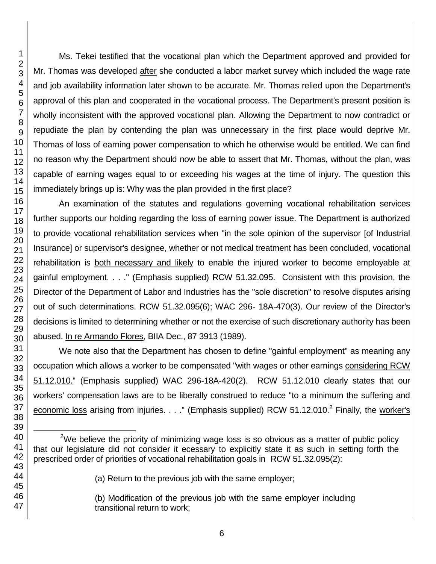47

Ms. Tekei testified that the vocational plan which the Department approved and provided for Mr. Thomas was developed after she conducted a labor market survey which included the wage rate and job availability information later shown to be accurate. Mr. Thomas relied upon the Department's approval of this plan and cooperated in the vocational process. The Department's present position is wholly inconsistent with the approved vocational plan. Allowing the Department to now contradict or repudiate the plan by contending the plan was unnecessary in the first place would deprive Mr. Thomas of loss of earning power compensation to which he otherwise would be entitled. We can find no reason why the Department should now be able to assert that Mr. Thomas, without the plan, was capable of earning wages equal to or exceeding his wages at the time of injury. The question this immediately brings up is: Why was the plan provided in the first place?

An examination of the statutes and regulations governing vocational rehabilitation services further supports our holding regarding the loss of earning power issue. The Department is authorized to provide vocational rehabilitation services when "in the sole opinion of the supervisor [of Industrial Insurance] or supervisor's designee, whether or not medical treatment has been concluded, vocational rehabilitation is both necessary and likely to enable the injured worker to become employable at gainful employment. . . ." (Emphasis supplied) RCW 51.32.095. Consistent with this provision, the Director of the Department of Labor and Industries has the "sole discretion" to resolve disputes arising out of such determinations. RCW 51.32.095(6); WAC 296- 18A-470(3). Our review of the Director's decisions is limited to determining whether or not the exercise of such discretionary authority has been abused. In re Armando Flores, BIIA Dec., 87 3913 (1989).

We note also that the Department has chosen to define "gainful employment" as meaning any occupation which allows a worker to be compensated "with wages or other earnings considering RCW 51.12.010." (Emphasis supplied) WAC 296-18A-420(2). RCW 51.12.010 clearly states that our workers' compensation laws are to be liberally construed to reduce "to a minimum the suffering and economic loss arising from injuries. . . ." (Emphasis supplied) RCW 51.12.010.<sup>2</sup> Finally, the worker's

(b) Modification of the previous job with the same employer including transitional return to work;

l <sup>2</sup>We believe the priority of minimizing wage loss is so obvious as a matter of public policy that our legislature did not consider it ecessary to explicitly state it as such in setting forth the prescribed order of priorities of vocational rehabilitation goals in RCW 51.32.095(2):

<sup>(</sup>a) Return to the previous job with the same employer;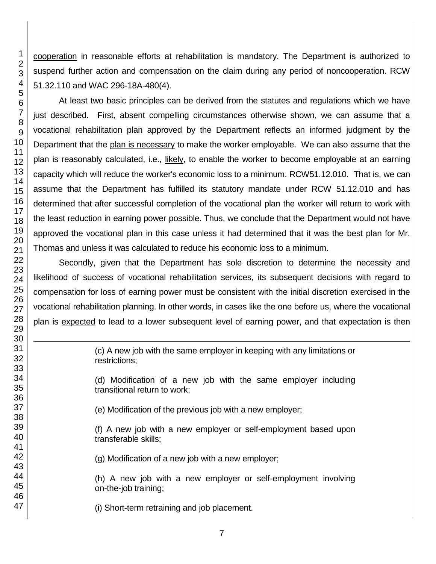cooperation in reasonable efforts at rehabilitation is mandatory. The Department is authorized to suspend further action and compensation on the claim during any period of noncooperation. RCW 51.32.110 and WAC 296-18A-480(4).

At least two basic principles can be derived from the statutes and regulations which we have just described. First, absent compelling circumstances otherwise shown, we can assume that a vocational rehabilitation plan approved by the Department reflects an informed judgment by the Department that the plan is necessary to make the worker employable. We can also assume that the plan is reasonably calculated, i.e., likely, to enable the worker to become employable at an earning capacity which will reduce the worker's economic loss to a minimum. RCW51.12.010. That is, we can assume that the Department has fulfilled its statutory mandate under RCW 51.12.010 and has determined that after successful completion of the vocational plan the worker will return to work with the least reduction in earning power possible. Thus, we conclude that the Department would not have approved the vocational plan in this case unless it had determined that it was the best plan for Mr. Thomas and unless it was calculated to reduce his economic loss to a minimum.

Secondly, given that the Department has sole discretion to determine the necessity and likelihood of success of vocational rehabilitation services, its subsequent decisions with regard to compensation for loss of earning power must be consistent with the initial discretion exercised in the vocational rehabilitation planning. In other words, in cases like the one before us, where the vocational plan is expected to lead to a lower subsequent level of earning power, and that expectation is then

> (c) A new job with the same employer in keeping with any limitations or restrictions;

> (d) Modification of a new job with the same employer including transitional return to work;

(e) Modification of the previous job with a new employer;

(f) A new job with a new employer or self-employment based upon transferable skills;

(g) Modification of a new job with a new employer;

(h) A new job with a new employer or self-employment involving on-the-job training;

(i) Short-term retraining and job placement.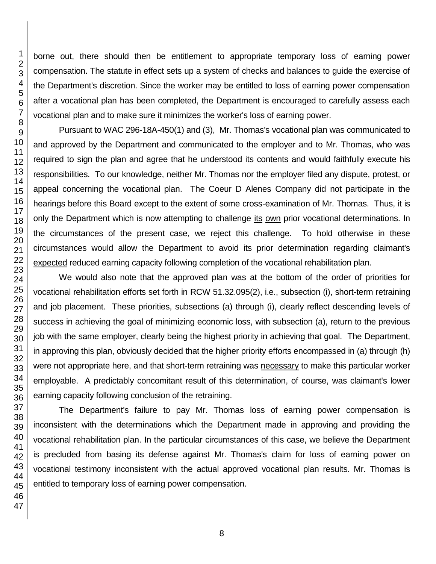borne out, there should then be entitlement to appropriate temporary loss of earning power compensation. The statute in effect sets up a system of checks and balances to guide the exercise of the Department's discretion. Since the worker may be entitled to loss of earning power compensation after a vocational plan has been completed, the Department is encouraged to carefully assess each vocational plan and to make sure it minimizes the worker's loss of earning power.

Pursuant to WAC 296-18A-450(1) and (3), Mr. Thomas's vocational plan was communicated to and approved by the Department and communicated to the employer and to Mr. Thomas, who was required to sign the plan and agree that he understood its contents and would faithfully execute his responsibilities. To our knowledge, neither Mr. Thomas nor the employer filed any dispute, protest, or appeal concerning the vocational plan. The Coeur D Alenes Company did not participate in the hearings before this Board except to the extent of some cross-examination of Mr. Thomas. Thus, it is only the Department which is now attempting to challenge its own prior vocational determinations. In the circumstances of the present case, we reject this challenge. To hold otherwise in these circumstances would allow the Department to avoid its prior determination regarding claimant's expected reduced earning capacity following completion of the vocational rehabilitation plan.

We would also note that the approved plan was at the bottom of the order of priorities for vocational rehabilitation efforts set forth in RCW 51.32.095(2), i.e., subsection (i), short-term retraining and job placement. These priorities, subsections (a) through (i), clearly reflect descending levels of success in achieving the goal of minimizing economic loss, with subsection (a), return to the previous job with the same employer, clearly being the highest priority in achieving that goal. The Department, in approving this plan, obviously decided that the higher priority efforts encompassed in (a) through (h) were not appropriate here, and that short-term retraining was necessary to make this particular worker employable. A predictably concomitant result of this determination, of course, was claimant's lower earning capacity following conclusion of the retraining.

The Department's failure to pay Mr. Thomas loss of earning power compensation is inconsistent with the determinations which the Department made in approving and providing the vocational rehabilitation plan. In the particular circumstances of this case, we believe the Department is precluded from basing its defense against Mr. Thomas's claim for loss of earning power on vocational testimony inconsistent with the actual approved vocational plan results. Mr. Thomas is entitled to temporary loss of earning power compensation.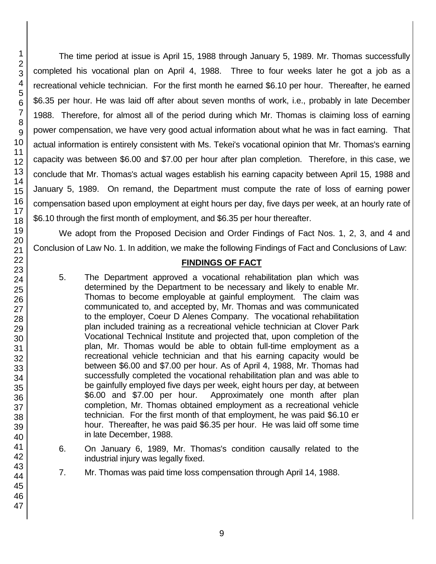The time period at issue is April 15, 1988 through January 5, 1989. Mr. Thomas successfully completed his vocational plan on April 4, 1988. Three to four weeks later he got a job as a recreational vehicle technician. For the first month he earned \$6.10 per hour. Thereafter, he earned \$6.35 per hour. He was laid off after about seven months of work, i.e., probably in late December 1988. Therefore, for almost all of the period during which Mr. Thomas is claiming loss of earning power compensation, we have very good actual information about what he was in fact earning. That actual information is entirely consistent with Ms. Tekei's vocational opinion that Mr. Thomas's earning capacity was between \$6.00 and \$7.00 per hour after plan completion. Therefore, in this case, we conclude that Mr. Thomas's actual wages establish his earning capacity between April 15, 1988 and January 5, 1989. On remand, the Department must compute the rate of loss of earning power compensation based upon employment at eight hours per day, five days per week, at an hourly rate of \$6.10 through the first month of employment, and \$6.35 per hour thereafter.

We adopt from the Proposed Decision and Order Findings of Fact Nos. 1, 2, 3, and 4 and Conclusion of Law No. 1. In addition, we make the following Findings of Fact and Conclusions of Law:

#### **FINDINGS OF FACT**

- 5. The Department approved a vocational rehabilitation plan which was determined by the Department to be necessary and likely to enable Mr. Thomas to become employable at gainful employment. The claim was communicated to, and accepted by, Mr. Thomas and was communicated to the employer, Coeur D Alenes Company. The vocational rehabilitation plan included training as a recreational vehicle technician at Clover Park Vocational Technical Institute and projected that, upon completion of the plan, Mr. Thomas would be able to obtain full-time employment as a recreational vehicle technician and that his earning capacity would be between \$6.00 and \$7.00 per hour. As of April 4, 1988, Mr. Thomas had successfully completed the vocational rehabilitation plan and was able to be gainfully employed five days per week, eight hours per day, at between \$6.00 and \$7.00 per hour. Approximately one month after plan completion, Mr. Thomas obtained employment as a recreational vehicle technician. For the first month of that employment, he was paid \$6.10 er hour. Thereafter, he was paid \$6.35 per hour. He was laid off some time in late December, 1988.
- 6. On January 6, 1989, Mr. Thomas's condition causally related to the industrial injury was legally fixed.
- 7. Mr. Thomas was paid time loss compensation through April 14, 1988.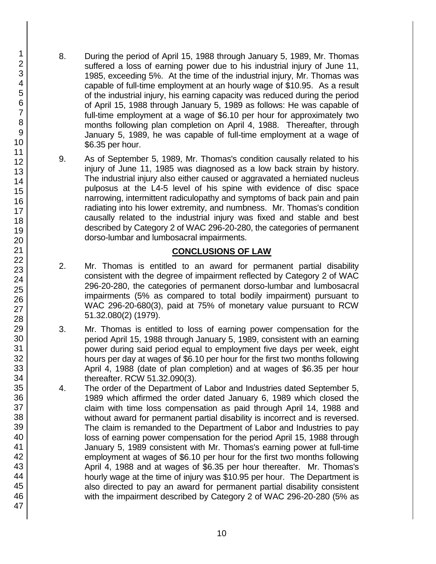- 8. During the period of April 15, 1988 through January 5, 1989, Mr. Thomas suffered a loss of earning power due to his industrial injury of June 11, 1985, exceeding 5%. At the time of the industrial injury, Mr. Thomas was capable of full-time employment at an hourly wage of \$10.95. As a result of the industrial injury, his earning capacity was reduced during the period of April 15, 1988 through January 5, 1989 as follows: He was capable of full-time employment at a wage of \$6.10 per hour for approximately two months following plan completion on April 4, 1988. Thereafter, through January 5, 1989, he was capable of full-time employment at a wage of \$6.35 per hour.
- 9. As of September 5, 1989, Mr. Thomas's condition causally related to his injury of June 11, 1985 was diagnosed as a low back strain by history. The industrial injury also either caused or aggravated a herniated nucleus pulposus at the L4-5 level of his spine with evidence of disc space narrowing, intermittent radiculopathy and symptoms of back pain and pain radiating into his lower extremity, and numbness. Mr. Thomas's condition causally related to the industrial injury was fixed and stable and best described by Category 2 of WAC 296-20-280, the categories of permanent dorso-lumbar and lumbosacral impairments.

## **CONCLUSIONS OF LAW**

- 2. Mr. Thomas is entitled to an award for permanent partial disability consistent with the degree of impairment reflected by Category 2 of WAC 296-20-280, the categories of permanent dorso-lumbar and lumbosacral impairments (5% as compared to total bodily impairment) pursuant to WAC 296-20-680(3), paid at 75% of monetary value pursuant to RCW 51.32.080(2) (1979).
- 3. Mr. Thomas is entitled to loss of earning power compensation for the period April 15, 1988 through January 5, 1989, consistent with an earning power during said period equal to employment five days per week, eight hours per day at wages of \$6.10 per hour for the first two months following April 4, 1988 (date of plan completion) and at wages of \$6.35 per hour thereafter. RCW 51.32.090(3).
- 4. The order of the Department of Labor and Industries dated September 5, 1989 which affirmed the order dated January 6, 1989 which closed the claim with time loss compensation as paid through April 14, 1988 and without award for permanent partial disability is incorrect and is reversed. The claim is remanded to the Department of Labor and Industries to pay loss of earning power compensation for the period April 15, 1988 through January 5, 1989 consistent with Mr. Thomas's earning power at full-time employment at wages of \$6.10 per hour for the first two months following April 4, 1988 and at wages of \$6.35 per hour thereafter. Mr. Thomas's hourly wage at the time of injury was \$10.95 per hour. The Department is also directed to pay an award for permanent partial disability consistent with the impairment described by Category 2 of WAC 296-20-280 (5% as